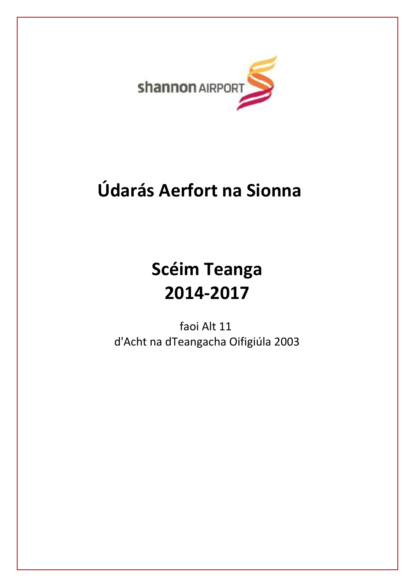

# **Údarás Aerfort na Sionna**

# **Scéim Teanga 2014-2017**

 faoi Alt 11 d'Acht na dTeangacha Oifigiúla 2003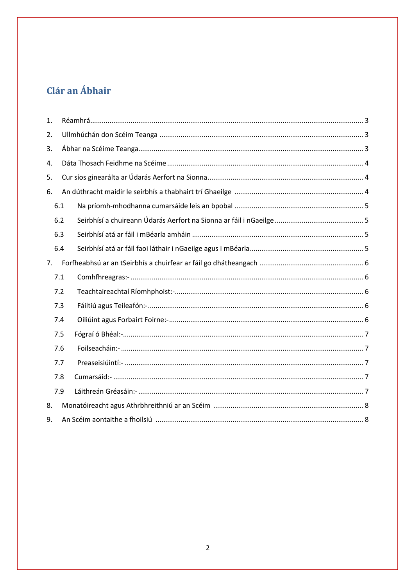# Clár an Ábhair

<span id="page-1-0"></span>

| 1. |     |  |
|----|-----|--|
| 2. |     |  |
| 3. |     |  |
| 4. |     |  |
| 5. |     |  |
| 6. |     |  |
|    | 6.1 |  |
|    | 6.2 |  |
|    | 6.3 |  |
|    | 6.4 |  |
| 7. |     |  |
|    | 7.1 |  |
|    | 7.2 |  |
|    | 7.3 |  |
|    | 7.4 |  |
|    | 7.5 |  |
|    | 7.6 |  |
|    | 7.7 |  |
|    | 7.8 |  |
|    | 7.9 |  |
| 8. |     |  |
| 9. |     |  |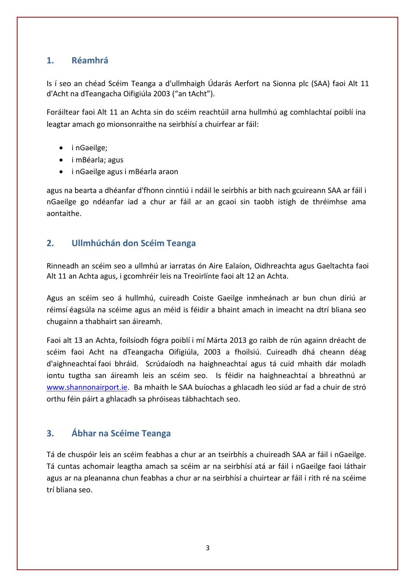### **1. Réamhrá**

Is í seo an chéad Scéim Teanga a d'ullmhaigh Údarás Aerfort na Sionna plc (SAA) faoi Alt 11 d'Acht na dTeangacha Oifigiúla 2003 ("an tAcht").

Foráiltear faoi Alt 11 an Achta sin do scéim reachtúil arna hullmhú ag comhlachtaí poiblí ina leagtar amach go mionsonraithe na seirbhísí a chuirfear ar fáil:

- inGaeilge;
- i mBéarla; agus
- i nGaeilge agus i mBéarla araon

agus na bearta a dhéanfar d'fhonn cinntiú i ndáil le seirbhís ar bith nach gcuireann SAA ar fáil i nGaeilge go ndéanfar iad a chur ar fáil ar an gcaoi sin taobh istigh de thréimhse ama aontaithe.

## **2. Ullmhúchán don Scéim Teanga**

Rinneadh an scéim seo a ullmhú ar iarratas ón Aire Ealaíon, Oidhreachta agus Gaeltachta faoi Alt 11 an Achta agus, i gcomhréir leis na Treoirlínte faoi alt 12 an Achta.

Agus an scéim seo á hullmhú, cuireadh Coiste Gaeilge inmheánach ar bun chun díriú ar réimsí éagsúla na scéime agus an méid is féidir a bhaint amach in imeacht na dtrí bliana seo chugainn a thabhairt san áireamh.

Faoi alt 13 an Achta, foilsíodh fógra poiblí i mí Márta 2013 go raibh de rún againn dréacht de scéim faoi Acht na dTeangacha Oifigiúla, 2003 a fhoilsiú. Cuireadh dhá cheann déag d'aighneachtaí faoi bhráid. Scrúdaíodh na haighneachtaí agus tá cuid mhaith dár moladh iontu tugtha san áireamh leis an scéim seo. Is féidir na haighneachtaí a bhreathnú ar [www.shannonairport.ie.](http://www.shannonairport.ie/) Ba mhaith le SAA buíochas a ghlacadh leo siúd ar fad a chuir de stró orthu féin páirt a ghlacadh sa phróiseas tábhachtach seo.

# <span id="page-2-0"></span>**3. Ábhar na Scéime Teanga**

Tá de chuspóir leis an scéim feabhas a chur ar an tseirbhís a chuireadh SAA ar fáil i nGaeilge. Tá cuntas achomair leagtha amach sa scéim ar na seirbhísí atá ar fáil i nGaeilge faoi láthair agus ar na pleananna chun feabhas a chur ar na seirbhísí a chuirtear ar fáil i rith ré na scéime trí bliana seo.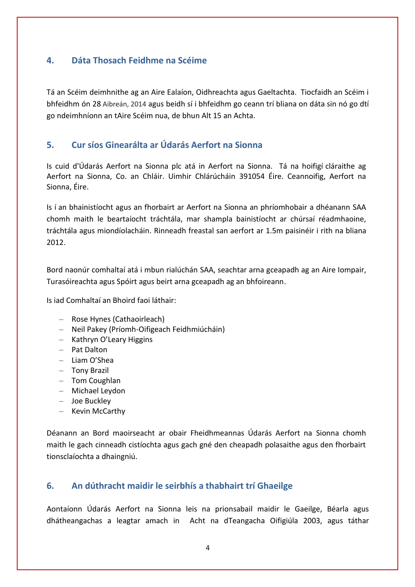# <span id="page-3-0"></span>**4. Dáta Thosach Feidhme na Scéime**

Tá an Scéim deimhnithe ag an Aire Ealaíon, Oidhreachta agus Gaeltachta. Tiocfaidh an Scéim i bhfeidhm ón 28 Aibreán, 2014 agus beidh sí i bhfeidhm go ceann trí bliana on dáta sin nó go dtí go ndeimhníonn an tAire Scéim nua, de bhun Alt 15 an Achta.

## <span id="page-3-1"></span>**5. Cur síos Ginearálta ar Údarás Aerfort na Sionna**

Is cuid d'Údarás Aerfort na Sionna plc atá in Aerfort na Sionna. Tá na hoifigí cláraithe ag Aerfort na Sionna, Co. an Chláir. Uimhir Chlárúcháin 391054 Éire. Ceannoifig, Aerfort na Sionna, Éire.

Is í an bhainistíocht agus an fhorbairt ar Aerfort na Sionna an phríomhobair a dhéanann SAA chomh maith le beartaíocht tráchtála, mar shampla bainistíocht ar chúrsaí réadmhaoine, tráchtála agus miondíolacháin. Rinneadh freastal san aerfort ar 1.5m paisinéir i rith na bliana 2012.

Bord naonúr comhaltaí atá i mbun rialúchán SAA, seachtar arna gceapadh ag an Aire Iompair, Turasóireachta agus Spóirt agus beirt arna gceapadh ag an bhfoireann.

Is iad Comhaltaí an Bhoird faoi láthair:

- Rose Hynes (Cathaoirleach)
- Neil Pakey (Príomh-Oifigeach Feidhmiúcháin)
- Kathryn O'Leary Higgins
- Pat Dalton
- Liam O'Shea
- Tony Brazil
- Tom Coughlan
- Michael Leydon
- Joe Buckley
- Kevin McCarthy

Déanann an Bord maoirseacht ar obair Fheidhmeannas Údarás Aerfort na Sionna chomh maith le gach cinneadh cistíochta agus gach gné den cheapadh polasaithe agus den fhorbairt tionsclaíochta a dhaingniú.

# <span id="page-3-2"></span>**6. An dúthracht maidir le seirbhís a thabhairt trí Ghaeilge**

Aontaíonn Údarás Aerfort na Sionna leis na prionsabail maidir le Gaeilge, Béarla agus dhátheangachas a leagtar amach in Acht na dTeangacha Oifigiúla 2003, agus táthar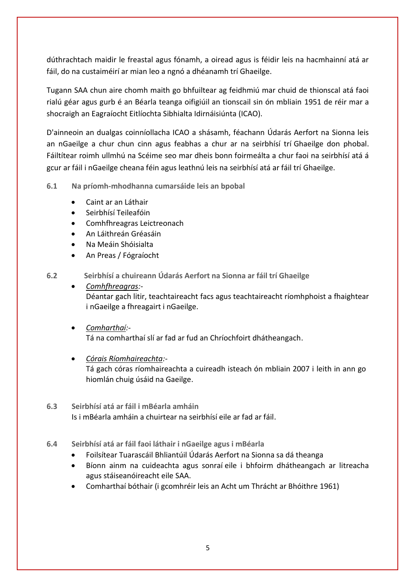dúthrachtach maidir le freastal agus fónamh, a oiread agus is féidir leis na hacmhainní atá ar fáil, do na custaiméirí ar mian leo a ngnó a dhéanamh trí Ghaeilge.

Tugann SAA chun aire chomh maith go bhfuiltear ag feidhmiú mar chuid de thionscal atá faoi rialú géar agus gurb é an Béarla teanga oifigiúil an tionscail sin ón mbliain 1951 de réir mar a shocraigh an Eagraíocht Eitlíochta Sibhialta Idirnáisiúnta (ICAO).

D'ainneoin an dualgas coinníollacha ICAO a shásamh, féachann Údarás Aerfort na Sionna leis an nGaeilge a chur chun cinn agus feabhas a chur ar na seirbhísí trí Ghaeilge don phobal. Fáiltítear roimh ullmhú na Scéime seo mar dheis bonn foirmeálta a chur faoi na seirbhísí atá á gcur ar fáil i nGaeilge cheana féin agus leathnú leis na seirbhísí atá ar fáil trí Ghaeilge.

<span id="page-4-0"></span>**6.1 Na príomh-mhodhanna cumarsáide leis an bpobal** 

- Caint ar an Láthair
- Seirbhísí Teileafóin
- Comhfhreagras Leictreonach
- An Láithreán Gréasáin
- Na Meáin Shóisialta
- An Preas / Fógraíocht

<span id="page-4-1"></span>**6.2 Seirbhísí a chuireann Údarás Aerfort na Sionna ar fáil trí Ghaeilge**

- *Comhfhreagras:-*  Déantar gach litir, teachtaireacht facs agus teachtaireacht ríomhphoist a fhaightear i nGaeilge a fhreagairt i nGaeilge.
- *Comharthaí:-* Tá na comharthaí slí ar fad ar fud an Chríochfoirt dhátheangach.
- *Córais Ríomhaireachta:-* Tá gach córas ríomhaireachta a cuireadh isteach ón mbliain 2007 i leith in ann go hiomlán chuig úsáid na Gaeilge.
- <span id="page-4-2"></span>**6.3 Seirbhísí atá ar fáil i mBéarla amháin** Is i mBéarla amháin a chuirtear na seirbhísí eile ar fad ar fáil.
- <span id="page-4-3"></span>**6.4 Seirbhísí atá ar fáil faoi láthair i nGaeilge agus i mBéarla**
	- Foilsítear Tuarascáil Bhliantúil Údarás Aerfort na Sionna sa dá theanga
	- Bíonn ainm na cuideachta agus sonraí eile i bhfoirm dhátheangach ar litreacha agus stáiseanóireacht eile SAA.
	- Comharthaí bóthair (i gcomhréir leis an Acht um Thrácht ar Bhóithre 1961)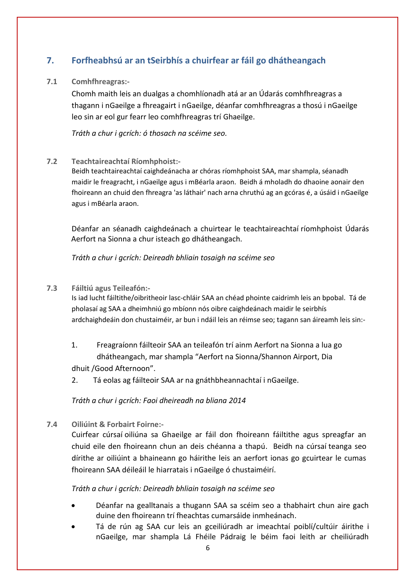# <span id="page-5-0"></span>**7. Forfheabhsú ar an tSeirbhís a chuirfear ar fáil go dhátheangach**

#### <span id="page-5-1"></span>**7.1 Comhfhreagras:-**

Chomh maith leis an dualgas a chomhlíonadh atá ar an Údarás comhfhreagras a thagann i nGaeilge a fhreagairt i nGaeilge, déanfar comhfhreagras a thosú i nGaeilge leo sin ar eol gur fearr leo comhfhreagras trí Ghaeilge.

*Tráth a chur i gcrích: ó thosach na scéime seo.*

#### <span id="page-5-2"></span>**7.2 Teachtaireachtaí Ríomhphoist:-**

Beidh teachtaireachtaí caighdeánacha ar chóras ríomhphoist SAA, mar shampla, séanadh maidir le freagracht, i nGaeilge agus i mBéarla araon. Beidh á mholadh do dhaoine aonair den fhoireann an chuid den fhreagra 'as láthair' nach arna chruthú ag an gcóras é, a úsáid i nGaeilge agus i mBéarla araon.

Déanfar an séanadh caighdeánach a chuirtear le teachtaireachtaí ríomhphoist Údarás Aerfort na Sionna a chur isteach go dhátheangach.

*Tráth a chur i gcrích: Deireadh bhliain tosaigh na scéime seo*

#### <span id="page-5-3"></span>**7.3 Fáiltiú agus Teileafón:-**

Is iad lucht fáiltithe/oibritheoir lasc-chláir SAA an chéad phointe caidrimh leis an bpobal. Tá de pholasaí ag SAA a dheimhniú go mbíonn nós oibre caighdeánach maidir le seirbhís ardchaighdeáin don chustaiméir, ar bun i ndáil leis an réimse seo; tagann san áireamh leis sin:-

- 1. Freagraíonn fáilteoir SAA an teileafón trí ainm Aerfort na Sionna a lua go dhátheangach, mar shampla "Aerfort na Sionna/Shannon Airport, Dia dhuit /Good Afternoon".
- 2. Tá eolas ag fáilteoir SAA ar na gnáthbheannachtaí i nGaeilge.

*Tráth a chur i gcrích: Faoi dheireadh na bliana 2014*

<span id="page-5-4"></span>**7.4 Oiliúint & Forbairt Foirne:-**

Cuirfear cúrsaí oiliúna sa Ghaeilge ar fáil don fhoireann fáiltithe agus spreagfar an chuid eile den fhoireann chun an deis chéanna a thapú. Beidh na cúrsaí teanga seo dírithe ar oiliúint a bhaineann go háirithe leis an aerfort ionas go gcuirtear le cumas fhoireann SAA déileáil le hiarratais i nGaeilge ó chustaiméirí.

*Tráth a chur i gcrích: Deireadh bhliain tosaigh na scéime seo*

- Déanfar na gealltanais a thugann SAA sa scéim seo a thabhairt chun aire gach duine den fhoireann trí fheachtas cumarsáide inmheánach.
- Tá de rún ag SAA cur leis an gceiliúradh ar imeachtaí poiblí/cultúir áirithe i nGaeilge, mar shampla Lá Fhéile Pádraig le béim faoi leith ar cheiliúradh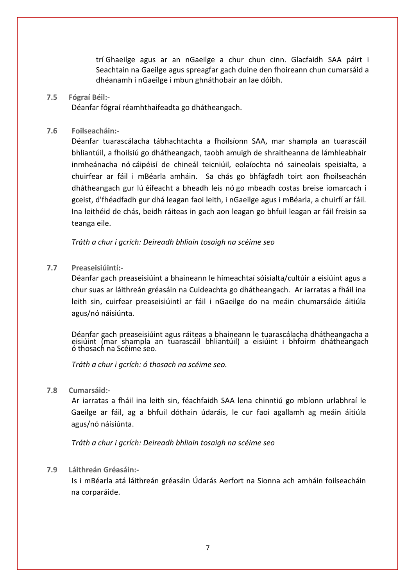trí Ghaeilge agus ar an nGaeilge a chur chun cinn. Glacfaidh SAA páirt i Seachtain na Gaeilge agus spreagfar gach duine den fhoireann chun cumarsáid a dhéanamh i nGaeilge i mbun ghnáthobair an lae dóibh.

#### <span id="page-6-0"></span>**7.5 Fógraí Béil:-**

Déanfar fógraí réamhthaifeadta go dhátheangach.

#### <span id="page-6-1"></span>**7.6 Foilseacháin:-**

Déanfar tuarascálacha tábhachtachta a fhoilsíonn SAA, mar shampla an tuarascáil bhliantúil, a fhoilsiú go dhátheangach, taobh amuigh de shraitheanna de lámhleabhair inmheánacha nó cáipéisí de chineál teicniúil, eolaíochta nó saineolais speisialta, a chuirfear ar fáil i mBéarla amháin. Sa chás go bhfágfadh toirt aon fhoilseachán dhátheangach gur lú éifeacht a bheadh leis nó go mbeadh costas breise iomarcach i gceist, d'fhéadfadh gur dhá leagan faoi leith, i nGaeilge agus i mBéarla, a chuirfí ar fáil. Ina leithéid de chás, beidh ráiteas in gach aon leagan go bhfuil leagan ar fáil freisin sa teanga eile.

*Tráth a chur i gcrích: Deireadh bhliain tosaigh na scéime seo*

#### <span id="page-6-2"></span>**7.7 Preaseisiúintí:-**

Déanfar gach preaseisiúint a bhaineann le himeachtaí sóisialta/cultúir a eisiúint agus a chur suas ar láithreán gréasáin na Cuideachta go dhátheangach. Ar iarratas a fháil ina leith sin, cuirfear preaseisiúintí ar fáil i nGaeilge do na meáin chumarsáide áitiúla agus/nó náisiúnta.

Déanfar gach preaseisiúint agus ráiteas a bhaineann le tuarascálacha dhátheangacha a eisiúint (mar shampla an tuarascáil bhliantúil) a eisiúint i bhfoirm dhátheangach ó thosach na Scéime seo.

*Tráth a chur i gcrích: ó thosach na scéime seo.*

#### <span id="page-6-3"></span>**7.8 Cumarsáid:-**

Ar iarratas a fháil ina leith sin, féachfaidh SAA lena chinntiú go mbíonn urlabhraí le Gaeilge ar fáil, ag a bhfuil dóthain údaráis, le cur faoi agallamh ag meáin áitiúla agus/nó náisiúnta.

*Tráth a chur i gcrích: Deireadh bhliain tosaigh na scéime seo*

#### <span id="page-6-4"></span>**7.9 Láithreán Gréasáin:-**

<span id="page-6-5"></span>Is i mBéarla atá láithreán gréasáin Údarás Aerfort na Sionna ach amháin foilseacháin na corparáide.